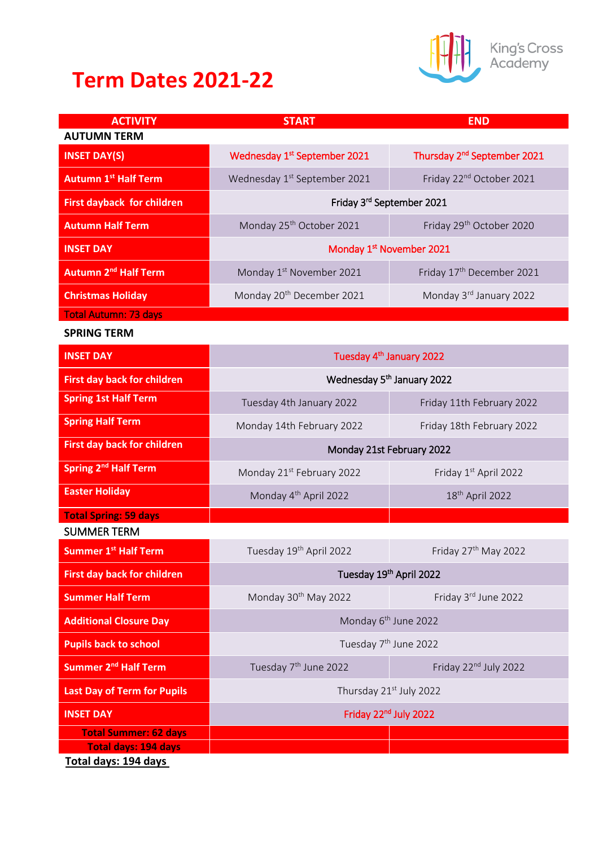## **Term Dates 2021-22**



King's Cross<br>Academy

| <b>ACTIVITY</b>                    | <b>START</b>                             | <b>END</b>                              |
|------------------------------------|------------------------------------------|-----------------------------------------|
| <b>AUTUMN TERM</b>                 |                                          |                                         |
| <b>INSET DAY(S)</b>                | Wednesday 1 <sup>st</sup> September 2021 | Thursday 2 <sup>nd</sup> September 2021 |
| <b>Autumn 1st Half Term</b>        | Wednesday 1 <sup>st</sup> September 2021 | Friday 22 <sup>nd</sup> October 2021    |
| <b>First dayback for children</b>  | Friday 3rd September 2021                |                                         |
| <b>Autumn Half Term</b>            | Monday 25 <sup>th</sup> October 2021     | Friday 29 <sup>th</sup> October 2020    |
| <b>INSET DAY</b>                   | Monday 1st November 2021                 |                                         |
| Autumn 2 <sup>nd</sup> Half Term   | Monday 1st November 2021                 | Friday 17 <sup>th</sup> December 2021   |
| <b>Christmas Holiday</b>           | Monday 20 <sup>th</sup> December 2021    | Monday 3rd January 2022                 |
| <b>Total Autumn: 73 days</b>       |                                          |                                         |
| <b>SPRING TERM</b>                 |                                          |                                         |
| <b>INSET DAY</b>                   | Tuesday 4 <sup>th</sup> January 2022     |                                         |
| <b>First day back for children</b> | Wednesday 5 <sup>th</sup> January 2022   |                                         |
| <b>Spring 1st Half Term</b>        | Tuesday 4th January 2022                 | Friday 11th February 2022               |
| <b>Spring Half Term</b>            | Monday 14th February 2022                | Friday 18th February 2022               |
| <b>First day back for children</b> | Monday 21st February 2022                |                                         |
| Spring 2 <sup>nd</sup> Half Term   | Monday 21 <sup>st</sup> February 2022    | Friday 1st April 2022                   |
| <b>Easter Holiday</b>              | Monday 4 <sup>th</sup> April 2022        | 18 <sup>th</sup> April 2022             |
| <b>Total Spring: 59 days</b>       |                                          |                                         |
| <b>SUMMER TERM</b>                 |                                          |                                         |
| <b>Summer 1st Half Term</b>        | Tuesday 19th April 2022                  | Friday 27 <sup>th</sup> May 2022        |
| <b>First day back for children</b> | Tuesday 19th April 2022                  |                                         |
| <b>Summer Half Term</b>            | Monday 30 <sup>th</sup> May 2022         | Friday 3rd June 2022                    |
| <b>Additional Closure Day</b>      | Monday 6 <sup>th</sup> June 2022         |                                         |
| <b>Pupils back to school</b>       | Tuesday 7 <sup>th</sup> June 2022        |                                         |
| Summer 2 <sup>nd</sup> Half Term   | Tuesday 7 <sup>th</sup> June 2022        | Friday 22 <sup>nd</sup> July 2022       |
| <b>Last Day of Term for Pupils</b> | Thursday 21st July 2022                  |                                         |
| <b>INSET DAY</b>                   | Friday 22 <sup>nd</sup> July 2022        |                                         |
| <b>Total Summer: 62 days</b>       |                                          |                                         |
| <b>Total days: 194 days</b>        |                                          |                                         |
| Total days: 194 days               |                                          |                                         |